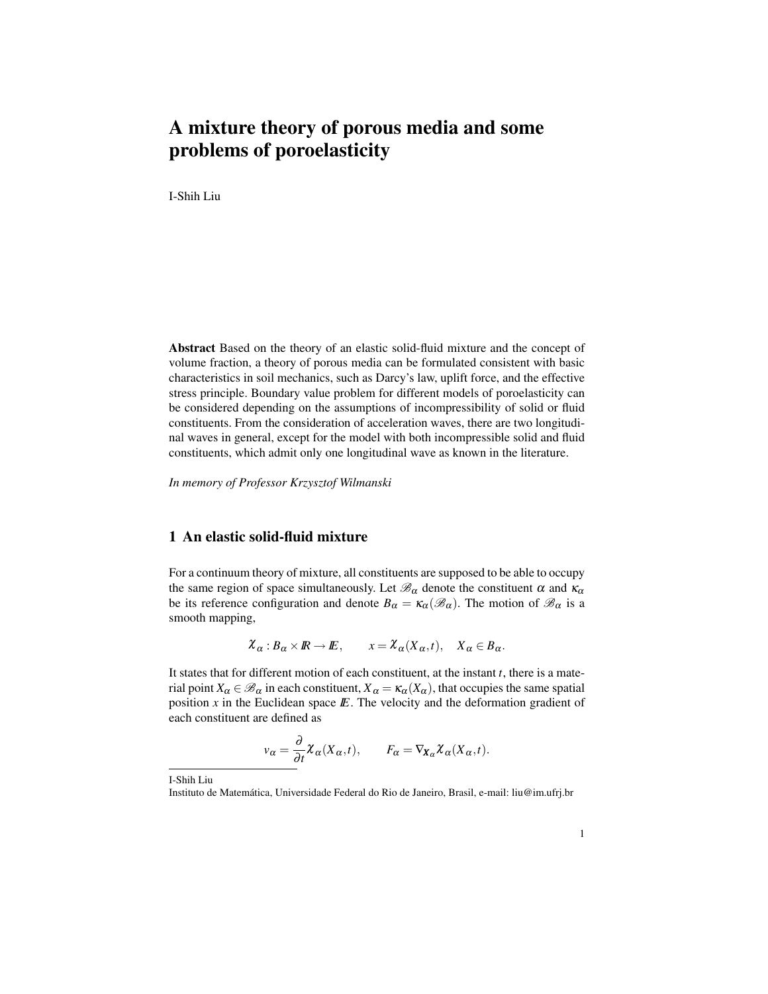# A mixture theory of porous media and some problems of poroelasticity

I-Shih Liu

Abstract Based on the theory of an elastic solid-fluid mixture and the concept of volume fraction, a theory of porous media can be formulated consistent with basic characteristics in soil mechanics, such as Darcy's law, uplift force, and the effective stress principle. Boundary value problem for different models of poroelasticity can be considered depending on the assumptions of incompressibility of solid or fluid constituents. From the consideration of acceleration waves, there are two longitudinal waves in general, except for the model with both incompressible solid and fluid constituents, which admit only one longitudinal wave as known in the literature.

*In memory of Professor Krzysztof Wilmanski*

# 1 An elastic solid-fluid mixture

For a continuum theory of mixture, all constituents are supposed to be able to occupy the same region of space simultaneously. Let  $\mathcal{B}_{\alpha}$  denote the constituent  $\alpha$  and  $\kappa_{\alpha}$ be its reference configuration and denote  $B_{\alpha} = \kappa_{\alpha}(\mathscr{B}_{\alpha})$ . The motion of  $\mathscr{B}_{\alpha}$  is a smooth mapping,

$$
\mathcal{X}_{\alpha}:B_{\alpha}\times\mathbb{R}\to\mathbb{E},\qquad x=\mathcal{X}_{\alpha}(X_{\alpha},t),\quad X_{\alpha}\in B_{\alpha}.
$$

It states that for different motion of each constituent, at the instant *t*, there is a material point  $X_\alpha \in \mathscr{B}_\alpha$  in each constituent,  $X_\alpha = \kappa_\alpha(X_\alpha)$ , that occupies the same spatial position  $x$  in the Euclidean space  $E$ . The velocity and the deformation gradient of each constituent are defined as

$$
v_{\alpha} = \frac{\partial}{\partial t} \chi_{\alpha}(X_{\alpha}, t), \qquad F_{\alpha} = \nabla_{X_{\alpha}} \chi_{\alpha}(X_{\alpha}, t).
$$

I-Shih Liu

Instituto de Matematica, Universidade Federal do Rio de Janeiro, Brasil, e-mail: liu@im.ufrj.br ´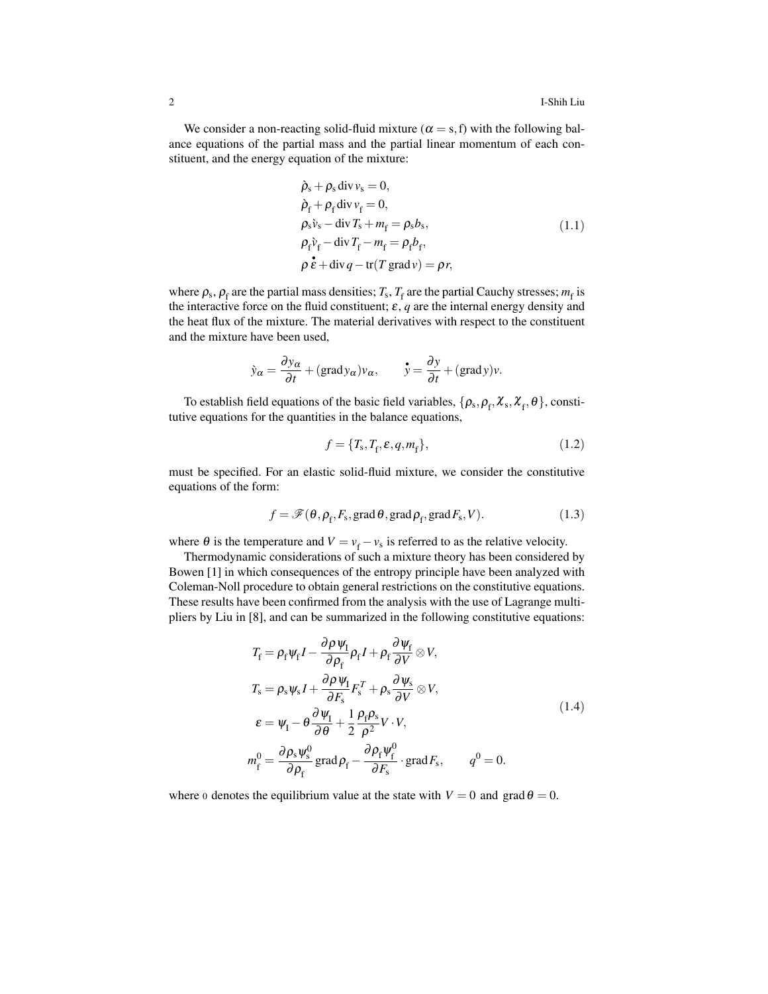We consider a non-reacting solid-fluid mixture ( $\alpha = s$ , f) with the following balance equations of the partial mass and the partial linear momentum of each constituent, and the energy equation of the mixture:

$$
\begin{aligned}\n\dot{\rho}_s + \rho_s \operatorname{div} v_s &= 0, \\
\dot{\rho}_f + \rho_f \operatorname{div} v_f &= 0, \\
\rho_s \dot{v}_s - \operatorname{div} T_s + m_f &= \rho_s b_s, \\
\rho_f \dot{v}_f - \operatorname{div} T_f - m_f &= \rho_f b_f, \\
\rho \dot{\varepsilon} + \operatorname{div} q - \operatorname{tr}(T \operatorname{grad} v) &= \rho r,\n\end{aligned} \tag{1.1}
$$

where  $\rho_s$ ,  $\rho_f$  are the partial mass densities;  $T_s$ ,  $T_f$  are the partial Cauchy stresses;  $m_f$  is the interactive force on the fluid constituent;  $\varepsilon$ ,  $q$  are the internal energy density and the heat flux of the mixture. The material derivatives with respect to the constituent and the mixture have been used,

$$
\dot{y}_{\alpha} = \frac{\partial y_{\alpha}}{\partial t} + (\text{grad} y_{\alpha}) v_{\alpha}, \qquad \dot{y} = \frac{\partial y}{\partial t} + (\text{grad} y)v.
$$

To establish field equations of the basic field variables,  $\{\rho_s, \rho_f, \chi_s, \chi_f, \theta\}$ , constitutive equations for the quantities in the balance equations,

$$
f = \{T_{\rm s}, T_{\rm f}, \varepsilon, q, m_{\rm f}\},\tag{1.2}
$$

must be specified. For an elastic solid-fluid mixture, we consider the constitutive equations of the form:

$$
f = \mathscr{F}(\theta, \rho_{\text{f}}, F_{\text{s}}, \text{grad}\,\theta, \text{grad}\,\rho_{\text{f}}, \text{grad}\,F_{\text{s}}, V). \tag{1.3}
$$

where  $\theta$  is the temperature and  $V = v_f - v_s$  is referred to as the relative velocity.

Thermodynamic considerations of such a mixture theory has been considered by Bowen [1] in which consequences of the entropy principle have been analyzed with Coleman-Noll procedure to obtain general restrictions on the constitutive equations. These results have been confirmed from the analysis with the use of Lagrange multipliers by Liu in [8], and can be summarized in the following constitutive equations:

$$
T_{\rm f} = \rho_{\rm f} \psi_{\rm f} I - \frac{\partial \rho \psi_{\rm f}}{\partial \rho_{\rm f}} \rho_{\rm f} I + \rho_{\rm f} \frac{\partial \psi_{\rm f}}{\partial V} \otimes V,
$$
  
\n
$$
T_{\rm s} = \rho_{\rm s} \psi_{\rm s} I + \frac{\partial \rho \psi_{\rm f}}{\partial F_{\rm s}} F_{\rm s}^T + \rho_{\rm s} \frac{\partial \psi_{\rm s}}{\partial V} \otimes V,
$$
  
\n
$$
\varepsilon = \psi_{\rm I} - \theta \frac{\partial \psi_{\rm I}}{\partial \theta} + \frac{1}{2} \frac{\rho_{\rm f} \rho_{\rm s}}{\rho^2} V \cdot V,
$$
  
\n
$$
m_{\rm f}^0 = \frac{\partial \rho_{\rm s} \psi_{\rm s}^0}{\partial \rho_{\rm f}} \text{grad} \rho_{\rm f} - \frac{\partial \rho_{\rm f} \psi_{\rm f}^0}{\partial F_{\rm s}} \cdot \text{grad} F_{\rm s}, \qquad q^0 = 0.
$$
 (1.4)

where 0 denotes the equilibrium value at the state with  $V = 0$  and grad  $\theta = 0$ .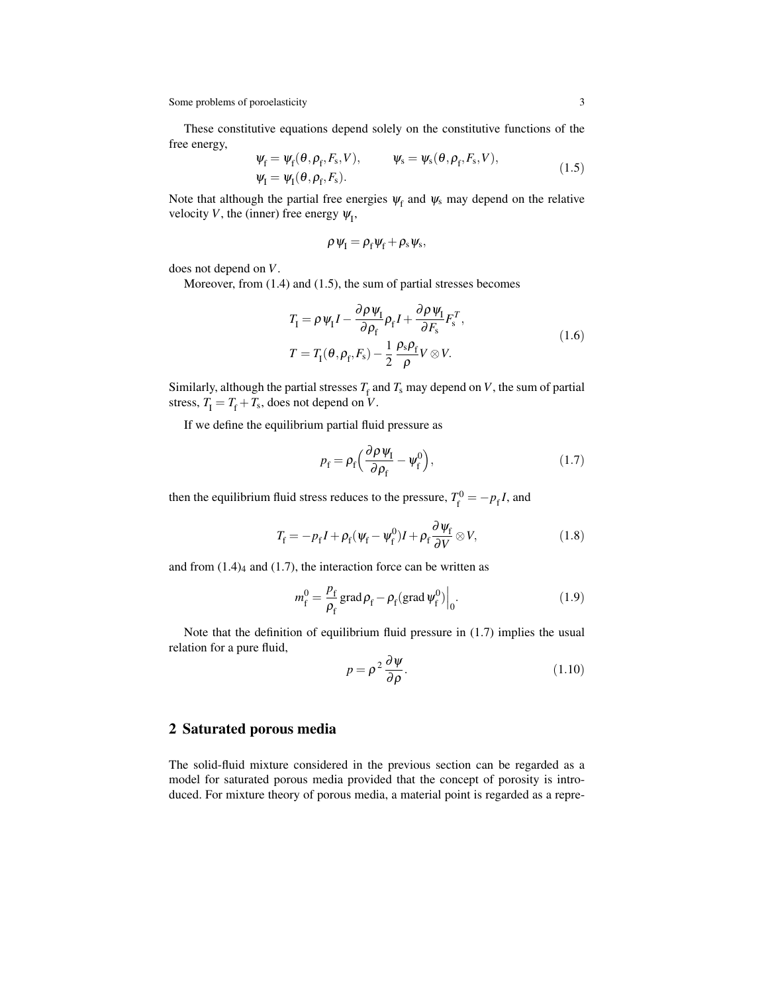These constitutive equations depend solely on the constitutive functions of the free energy,

$$
\begin{aligned} \n\psi_{\rm f} &= \psi_{\rm f}(\theta, \rho_{\rm f}, F_{\rm s}, V), & \psi_{\rm s} &= \psi_{\rm s}(\theta, \rho_{\rm f}, F_{\rm s}, V), \\ \n\psi_{\rm I} &= \psi_{\rm I}(\theta, \rho_{\rm f}, F_{\rm s}). \n\end{aligned} \tag{1.5}
$$

Note that although the partial free energies  $\psi_f$  and  $\psi_s$  may depend on the relative velocity *V*, the (inner) free energy  $\psi_I$ ,

$$
\rho\psi_{\rm I}=\rho_{\rm f}\psi_{\rm f}+\rho_{\rm s}\psi_{\rm s},
$$

does not depend on *V*.

Moreover, from (1.4) and (1.5), the sum of partial stresses becomes

$$
T_{\rm I} = \rho \psi_{\rm I} I - \frac{\partial \rho \psi_{\rm I}}{\partial \rho_{\rm f}} \rho_{\rm f} I + \frac{\partial \rho \psi_{\rm I}}{\partial F_{\rm s}} F_{\rm s}^T,
$$
  
\n
$$
T = T_{\rm I}(\theta, \rho_{\rm f}, F_{\rm s}) - \frac{1}{2} \frac{\rho_{\rm s} \rho_{\rm f}}{\rho} V \otimes V.
$$
\n(1.6)

Similarly, although the partial stresses  $T_f$  and  $T_s$  may depend on *V*, the sum of partial stress,  $T_{\rm I} = T_{\rm f} + T_{\rm s}$ , does not depend on *V*.

If we define the equilibrium partial fluid pressure as

$$
p_{\rm f} = \rho_{\rm f} \left( \frac{\partial \rho \, \psi_{\rm I}}{\partial \rho_{\rm f}} - \psi_{\rm f}^0 \right),\tag{1.7}
$$

then the equilibrium fluid stress reduces to the pressure,  $T_{\rm c}^0$  $f_f^{0} = -p_f I$ , and

$$
T_{\rm f} = -p_{\rm f}I + \rho_{\rm f}(\psi_{\rm f} - \psi_{\rm f}^0)I + \rho_{\rm f}\frac{\partial \psi_{\rm f}}{\partial V} \otimes V,\tag{1.8}
$$

and from  $(1.4)$ <sub>4</sub> and  $(1.7)$ , the interaction force can be written as

$$
m_{\rm f}^0 = \frac{p_{\rm f}}{\rho_{\rm f}} \operatorname{grad} \rho_{\rm f} - \rho_{\rm f} (\operatorname{grad} \psi_{\rm f}^0) \Big|_{0}.
$$
 (1.9)

Note that the definition of equilibrium fluid pressure in (1.7) implies the usual relation for a pure fluid,

$$
p = \rho^2 \frac{\partial \psi}{\partial \rho}.
$$
 (1.10)

# 2 Saturated porous media

The solid-fluid mixture considered in the previous section can be regarded as a model for saturated porous media provided that the concept of porosity is introduced. For mixture theory of porous media, a material point is regarded as a repre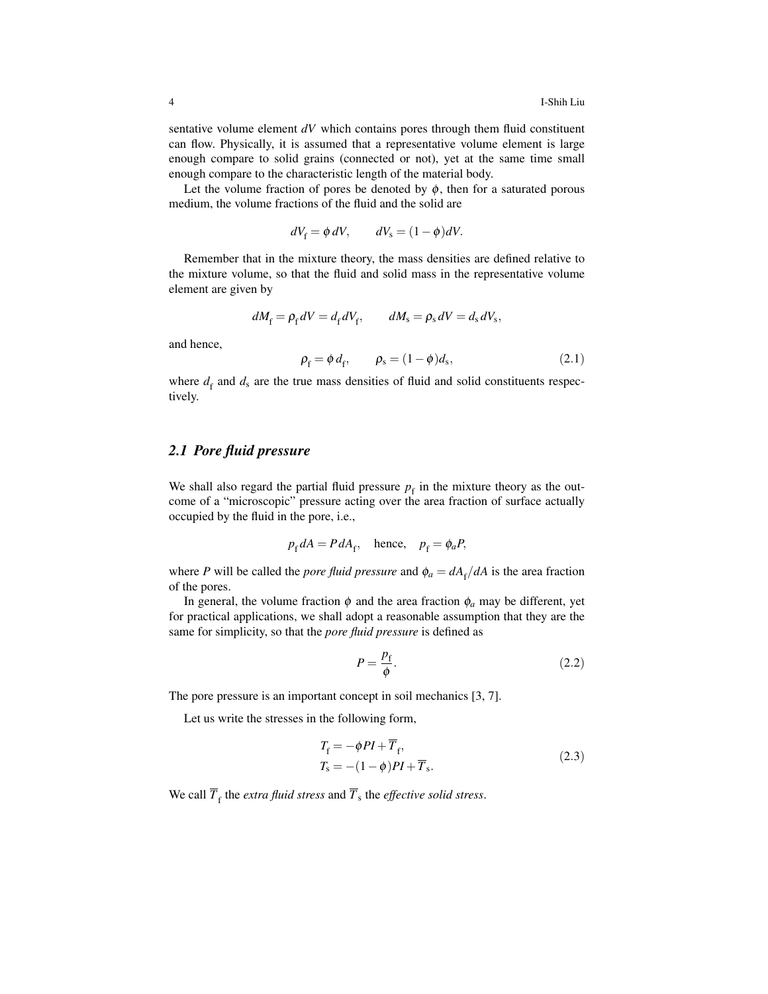sentative volume element *dV* which contains pores through them fluid constituent can flow. Physically, it is assumed that a representative volume element is large enough compare to solid grains (connected or not), yet at the same time small enough compare to the characteristic length of the material body.

Let the volume fraction of pores be denoted by  $\phi$ , then for a saturated porous medium, the volume fractions of the fluid and the solid are

$$
dV_{\rm f} = \phi \, dV, \qquad dV_{\rm s} = (1 - \phi) dV.
$$

Remember that in the mixture theory, the mass densities are defined relative to the mixture volume, so that the fluid and solid mass in the representative volume element are given by

$$
dM_{\rm f} = \rho_{\rm f} dV = d_{\rm f} dV_{\rm f}, \qquad dM_{\rm s} = \rho_{\rm s} dV = d_{\rm s} dV_{\rm s},
$$

and hence,

$$
\rho_{\rm f} = \phi \, d_{\rm f}, \qquad \rho_{\rm s} = (1 - \phi) d_{\rm s}, \tag{2.1}
$$

where  $d_f$  and  $d_s$  are the true mass densities of fluid and solid constituents respectively.

# *2.1 Pore fluid pressure*

We shall also regard the partial fluid pressure  $p_f$  in the mixture theory as the outcome of a "microscopic" pressure acting over the area fraction of surface actually occupied by the fluid in the pore, i.e.,

$$
p_{\rm f} dA = P dA_{\rm f}, \quad \text{hence,} \quad p_{\rm f} = \phi_a P,
$$

where *P* will be called the *pore fluid pressure* and  $\phi_a = dA_f/dA$  is the area fraction of the pores.

In general, the volume fraction  $\phi$  and the area fraction  $\phi_a$  may be different, yet for practical applications, we shall adopt a reasonable assumption that they are the same for simplicity, so that the *pore fluid pressure* is defined as

$$
P = \frac{p_{\rm f}}{\phi}.\tag{2.2}
$$

The pore pressure is an important concept in soil mechanics [3, 7].

Let us write the stresses in the following form,

$$
T_{\rm f} = -\phi P I + \overline{T}_{\rm f},
$$
  
\n
$$
T_{\rm s} = -(1 - \phi) P I + \overline{T}_{\rm s}.
$$
\n(2.3)

We call  $\overline{T}_{\text{f}}$  the *extra fluid stress* and  $\overline{T}_{\text{s}}$  the *effective solid stress*.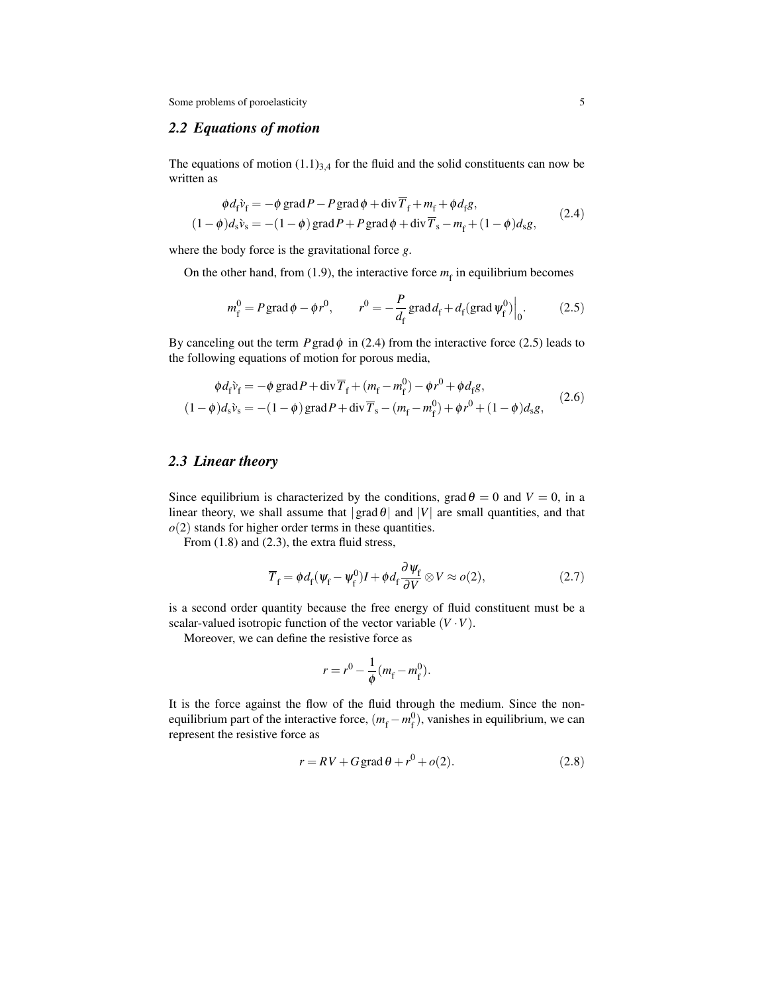# *2.2 Equations of motion*

The equations of motion  $(1.1)_{3,4}$  for the fluid and the solid constituents can now be written as

$$
\begin{aligned}\n\phi d_{\rm f} \tilde{v}_{\rm f} &= -\phi \operatorname{grad} P - P \operatorname{grad} \phi + \operatorname{div} \overline{T}_{\rm f} + m_{\rm f} + \phi d_{\rm f} g, \\
(1 - \phi) d_{\rm s} \tilde{v}_{\rm s} &= -(1 - \phi) \operatorname{grad} P + P \operatorname{grad} \phi + \operatorname{div} \overline{T}_{\rm s} - m_{\rm f} + (1 - \phi) d_{\rm s} g,\n\end{aligned} \tag{2.4}
$$

where the body force is the gravitational force *g*.

On the other hand, from  $(1.9)$ , the interactive force  $m_f$  in equilibrium becomes

$$
m_f^0 = P \operatorname{grad} \phi - \phi r^0, \qquad r^0 = -\frac{P}{d_f} \operatorname{grad} d_f + d_f (\operatorname{grad} \psi_f^0) \Big|_0.
$$
 (2.5)

By canceling out the term  $P$  grad  $\phi$  in (2.4) from the interactive force (2.5) leads to the following equations of motion for porous media,

$$
\phi d_{\hat{f}} \hat{v}_{f} = -\phi \text{ grad} P + \text{div} \overline{T}_{f} + (m_{f} - m_{f}^{0}) - \phi r^{0} + \phi d_{f} g,
$$
  
(1 -  $\phi$ ) $d_{s} \hat{v}_{s} = -(1 - \phi) \text{ grad} P + \text{div} \overline{T}_{s} - (m_{f} - m_{f}^{0}) + \phi r^{0} + (1 - \phi) d_{s} g,$  (2.6)

# *2.3 Linear theory*

Since equilibrium is characterized by the conditions, grad  $\theta = 0$  and  $V = 0$ , in a linear theory, we shall assume that  $|grad \theta|$  and  $|V|$  are small quantities, and that  $o(2)$  stands for higher order terms in these quantities.

From  $(1.8)$  and  $(2.3)$ , the extra fluid stress,

$$
\overline{T}_{\rm f} = \phi d_{\rm f}(\psi_{\rm f} - \psi_{\rm f}^0)I + \phi d_{\rm f} \frac{\partial \psi_{\rm f}}{\partial V} \otimes V \approx o(2),\tag{2.7}
$$

is a second order quantity because the free energy of fluid constituent must be a scalar-valued isotropic function of the vector variable  $(V \cdot V)$ .

Moreover, we can define the resistive force as

$$
r = r^0 - \frac{1}{\phi} (m_{\rm f} - m_{\rm f}^0).
$$

It is the force against the flow of the fluid through the medium. Since the nonequilibrium part of the interactive force,  $(m_f - m_f^0)$  $_{f}^{0}$ ), vanishes in equilibrium, we can represent the resistive force as

$$
r = RV + G \operatorname{grad} \theta + r^0 + o(2). \tag{2.8}
$$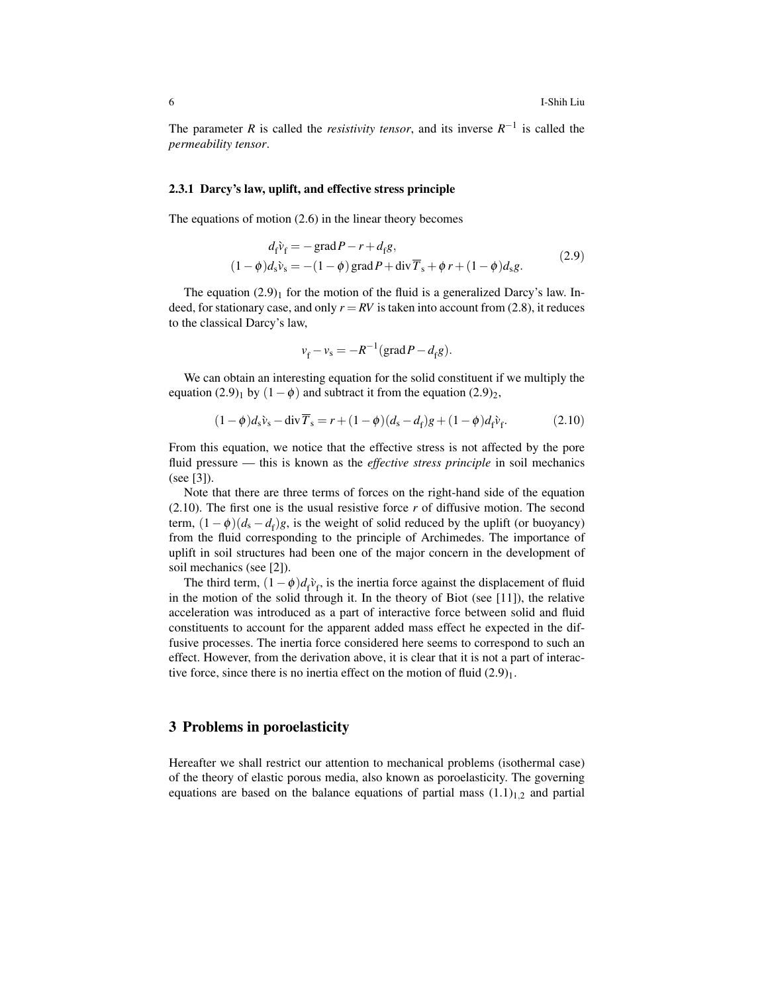The parameter *R* is called the *resistivity tensor*, and its inverse  $R^{-1}$  is called the *permeability tensor*.

#### 2.3.1 Darcy's law, uplift, and effective stress principle

The equations of motion (2.6) in the linear theory becomes

$$
d_{\tilde{\mathbf{r}}} \tilde{\mathbf{v}}_{\tilde{\mathbf{r}}} = -\operatorname{grad} P - r + d_{\tilde{\mathbf{r}}} g,
$$
  

$$
(1 - \phi) d_{\tilde{\mathbf{s}}} \tilde{\mathbf{v}}_{\tilde{\mathbf{s}}} = -(1 - \phi) \operatorname{grad} P + \operatorname{div} \overline{T}_{\tilde{\mathbf{s}}} + \phi r + (1 - \phi) d_{\tilde{\mathbf{s}}} g.
$$
 (2.9)

The equation  $(2.9)$ <sub>1</sub> for the motion of the fluid is a generalized Darcy's law. Indeed, for stationary case, and only  $r = RV$  is taken into account from (2.8), it reduces to the classical Darcy's law,

$$
v_{\rm f} - v_{\rm s} = -R^{-1}(\text{grad}\,P - d_{\rm f}g).
$$

We can obtain an interesting equation for the solid constituent if we multiply the equation (2.9)<sub>1</sub> by  $(1 - \phi)$  and subtract it from the equation (2.9)<sub>2</sub>,

$$
(1 - \phi)d_s\hat{v}_s - \text{div}\,\overline{T}_s = r + (1 - \phi)(d_s - d_f)g + (1 - \phi)d_f\hat{v}_f.
$$
 (2.10)

From this equation, we notice that the effective stress is not affected by the pore fluid pressure — this is known as the *effective stress principle* in soil mechanics (see [3]).

Note that there are three terms of forces on the right-hand side of the equation  $(2.10)$ . The first one is the usual resistive force  $r$  of diffusive motion. The second term,  $(1 - \phi)(d_s - d_f)g$ , is the weight of solid reduced by the uplift (or buoyancy) from the fluid corresponding to the principle of Archimedes. The importance of uplift in soil structures had been one of the major concern in the development of soil mechanics (see [2]).

The third term,  $(1 - \phi)d_f v_f$ , is the inertia force against the displacement of fluid in the motion of the solid through it. In the theory of Biot (see [11]), the relative acceleration was introduced as a part of interactive force between solid and fluid constituents to account for the apparent added mass effect he expected in the diffusive processes. The inertia force considered here seems to correspond to such an effect. However, from the derivation above, it is clear that it is not a part of interactive force, since there is no inertia effect on the motion of fluid  $(2.9)_1$ .

### 3 Problems in poroelasticity

Hereafter we shall restrict our attention to mechanical problems (isothermal case) of the theory of elastic porous media, also known as poroelasticity. The governing equations are based on the balance equations of partial mass  $(1.1)_{1,2}$  and partial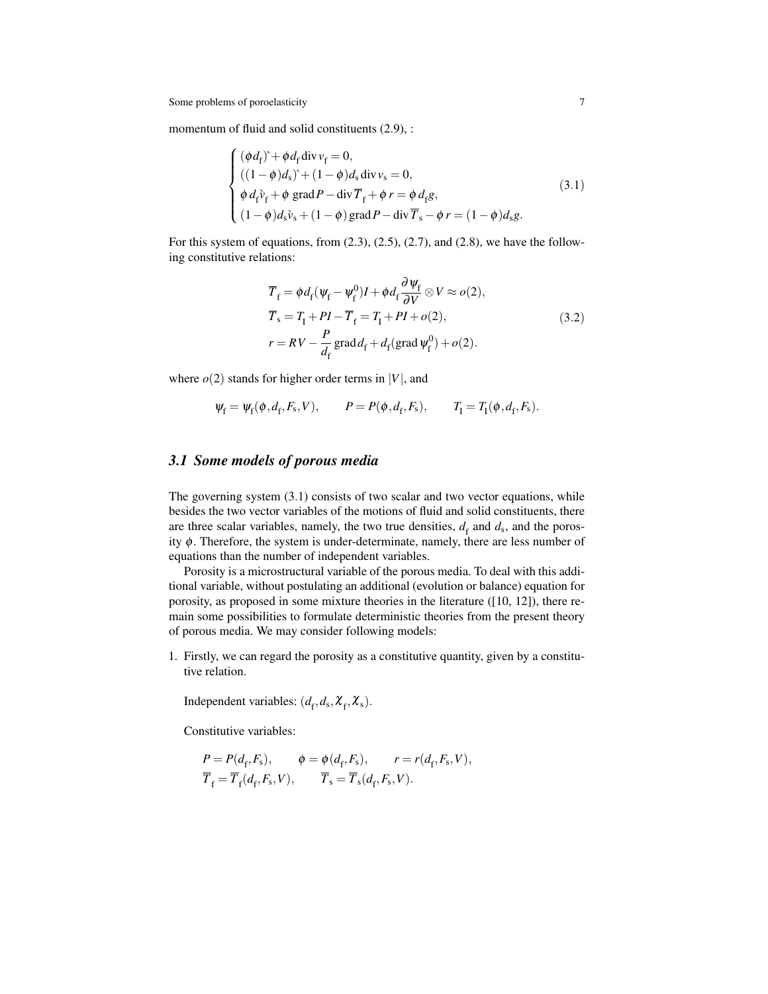momentum of fluid and solid constituents  $(2.9)$ , :

$$
\begin{cases}\n(\phi d_{\rm f}) + \phi d_{\rm f} \operatorname{div} v_{\rm f} = 0, \\
((1 - \phi) d_{\rm s}) + (1 - \phi) d_{\rm s} \operatorname{div} v_{\rm s} = 0, \\
\phi d_{\rm f} \tilde{v}_{\rm f} + \phi \operatorname{grad} P - \operatorname{div} \overline{T}_{\rm f} + \phi r = \phi d_{\rm f} g, \\
(1 - \phi) d_{\rm s} \tilde{v}_{\rm s} + (1 - \phi) \operatorname{grad} P - \operatorname{div} \overline{T}_{\rm s} - \phi r = (1 - \phi) d_{\rm s} g.\n\end{cases}
$$
\n(3.1)

For this system of equations, from  $(2.3)$ ,  $(2.5)$ ,  $(2.7)$ , and  $(2.8)$ , we have the following constitutive relations:

$$
\overline{T}_{\rm f} = \phi d_{\rm f} (\psi_{\rm f} - \psi_{\rm f}^0) I + \phi d_{\rm f} \frac{\partial \psi_{\rm f}}{\partial V} \otimes V \approx o(2),
$$
  
\n
$$
\overline{T}_{\rm s} = T_{\rm I} + PI - \overline{T}_{\rm f} = T_{\rm I} + PI + o(2),
$$
  
\n
$$
r = RV - \frac{P}{d_{\rm f}} \text{grad} d_{\rm f} + d_{\rm f} (\text{grad } \psi_{\rm f}^0) + o(2).
$$
\n(3.2)

where  $o(2)$  stands for higher order terms in  $|V|$ , and

$$
\psi_f = \psi_f(\phi, d_f, F_s, V), \qquad P = P(\phi, d_f, F_s), \qquad T_I = T_I(\phi, d_f, F_s).
$$

# *3.1 Some models of porous media*

The governing system (3.1) consists of two scalar and two vector equations, while besides the two vector variables of the motions of fluid and solid constituents, there are three scalar variables, namely, the two true densities,  $d_f$  and  $d_s$ , and the porosity  $\phi$ . Therefore, the system is under-determinate, namely, there are less number of equations than the number of independent variables.

Porosity is a microstructural variable of the porous media. To deal with this additional variable, without postulating an additional (evolution or balance) equation for porosity, as proposed in some mixture theories in the literature ([10, 12]), there remain some possibilities to formulate deterministic theories from the present theory of porous media. We may consider following models:

1. Firstly, we can regard the porosity as a constitutive quantity, given by a constitutive relation.

Independent variables:  $(d_f, d_s, \mathcal{X}_f, \mathcal{X}_s)$ .

Constitutive variables:

$$
P = P(d_{\rm f}, F_{\rm s}), \qquad \phi = \phi(d_{\rm f}, F_{\rm s}), \qquad r = r(d_{\rm f}, F_{\rm s}, V),
$$
  

$$
\overline{T}_{\rm f} = \overline{T}_{\rm f}(d_{\rm f}, F_{\rm s}, V), \qquad \overline{T}_{\rm s} = \overline{T}_{\rm s}(d_{\rm f}, F_{\rm s}, V).
$$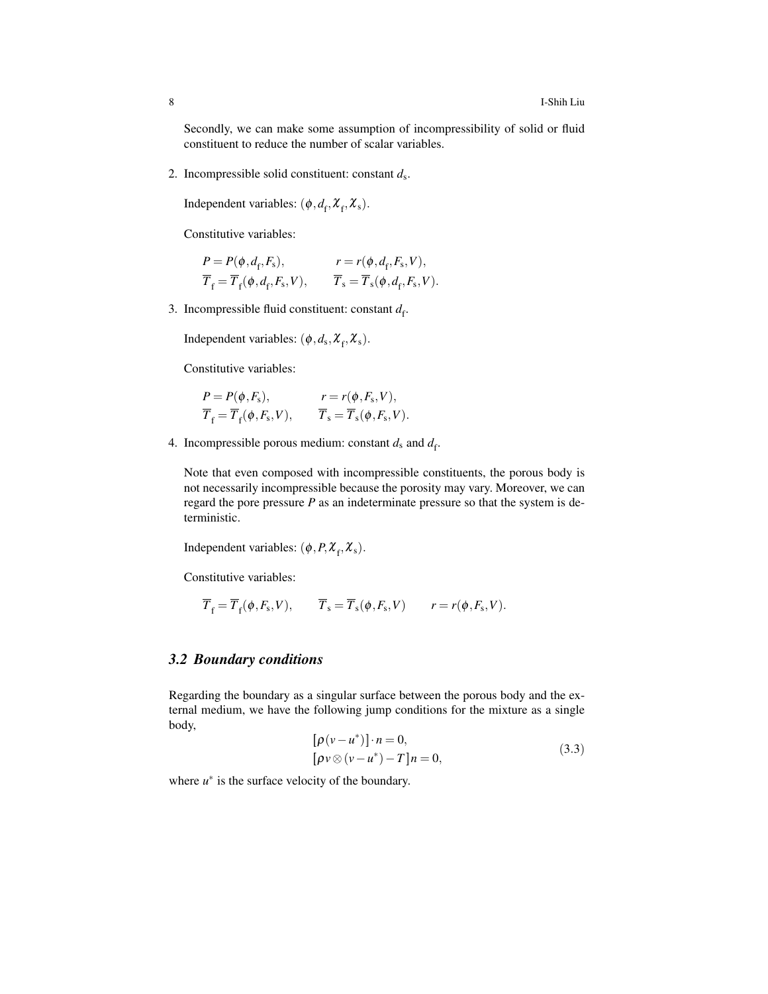Secondly, we can make some assumption of incompressibility of solid or fluid constituent to reduce the number of scalar variables.

2. Incompressible solid constituent: constant *d*<sup>s</sup> .

Independent variables:  $(\phi, d_f, \mathcal{X}_f, \mathcal{X}_s)$ .

Constitutive variables:

$$
P = P(\phi, d_{\rm f}, F_{\rm s}), \qquad r = r(\phi, d_{\rm f}, F_{\rm s}, V),
$$
  
\n
$$
\overline{T}_{\rm f} = \overline{T}_{\rm f}(\phi, d_{\rm f}, F_{\rm s}, V), \qquad \overline{T}_{\rm s} = \overline{T}_{\rm s}(\phi, d_{\rm f}, F_{\rm s}, V).
$$

3. Incompressible fluid constituent: constant  $d_f$ .

Independent variables:  $(\phi, d_s, \mathcal{X}_f, \mathcal{X}_s)$ .

Constitutive variables:

$$
P = P(\phi, F_s), \qquad r = r(\phi, F_s, V),
$$
  
\n
$$
\overline{T}_f = \overline{T}_f(\phi, F_s, V), \qquad \overline{T}_s = \overline{T}_s(\phi, F_s, V).
$$

4. Incompressible porous medium: constant  $d_s$  and  $d_f$ .

Note that even composed with incompressible constituents, the porous body is not necessarily incompressible because the porosity may vary. Moreover, we can regard the pore pressure *P* as an indeterminate pressure so that the system is deterministic.

Independent variables:  $(\phi, P, \mathcal{X}_f, \mathcal{X}_s)$ .

Constitutive variables:

$$
\overline{T}_{\rm f} = \overline{T}_{\rm f}(\phi, F_{\rm s}, V), \qquad \overline{T}_{\rm s} = \overline{T}_{\rm s}(\phi, F_{\rm s}, V) \qquad r = r(\phi, F_{\rm s}, V).
$$

### *3.2 Boundary conditions*

Regarding the boundary as a singular surface between the porous body and the external medium, we have the following jump conditions for the mixture as a single body,

$$
[\rho(v - u^*)] \cdot n = 0,
$$
  

$$
[\rho v \otimes (v - u^*) - T]n = 0,
$$
 (3.3)

where  $u^*$  is the surface velocity of the boundary.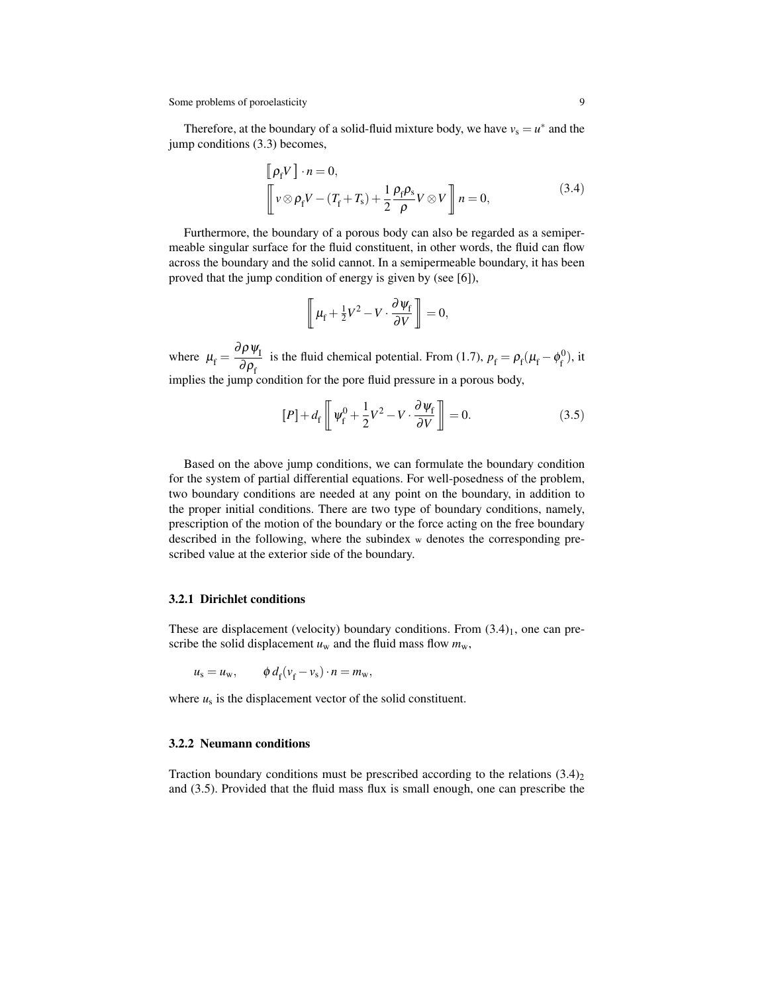Therefore, at the boundary of a solid-fluid mixture body, we have  $v_s = u^*$  and the jump conditions (3.3) becomes,

$$
\[\rho_f V\] \cdot n = 0,\n\left[ v \otimes \rho_f V - (T_f + T_s) + \frac{1}{2} \frac{\rho_f \rho_s}{\rho} V \otimes V \right] n = 0,
$$
\n(3.4)

Furthermore, the boundary of a porous body can also be regarded as a semipermeable singular surface for the fluid constituent, in other words, the fluid can flow across the boundary and the solid cannot. In a semipermeable boundary, it has been proved that the jump condition of energy is given by (see [6]),

$$
\left[\!\!\left[\mu_{\rm f}+\tfrac{1}{2}V^2-V\cdot\frac{\partial\psi_{\rm f}}{\partial V}\right]\!\!\right]=0,
$$

where  $\mu_f = \frac{\partial \rho \psi_I}{\partial \rho}$  $\frac{\partial \rho}{\partial \rho_f}$  is the fluid chemical potential. From (1.7),  $p_f = \rho_f (\mu_f - \phi_f^0)$  $_{f}^{0}),$  it implies the jump condition for the pore fluid pressure in a porous body,

$$
[P] + d_{\rm f} \left[ \psi_{\rm f}^0 + \frac{1}{2} V^2 - V \cdot \frac{\partial \psi_{\rm f}}{\partial V} \right] = 0. \tag{3.5}
$$

Based on the above jump conditions, we can formulate the boundary condition for the system of partial differential equations. For well-posedness of the problem, two boundary conditions are needed at any point on the boundary, in addition to the proper initial conditions. There are two type of boundary conditions, namely, prescription of the motion of the boundary or the force acting on the free boundary described in the following, where the subindex w denotes the corresponding prescribed value at the exterior side of the boundary.

#### 3.2.1 Dirichlet conditions

These are displacement (velocity) boundary conditions. From  $(3.4)<sub>1</sub>$ , one can prescribe the solid displacement  $u_w$  and the fluid mass flow  $m_w$ ,

$$
u_{\rm s} = u_{\rm w}, \qquad \phi \, d_{\rm f}(v_{\rm f} - v_{\rm s}) \cdot n = m_{\rm w},
$$

where  $u_s$  is the displacement vector of the solid constituent.

#### 3.2.2 Neumann conditions

Traction boundary conditions must be prescribed according to the relations  $(3.4)_2$ and (3.5). Provided that the fluid mass flux is small enough, one can prescribe the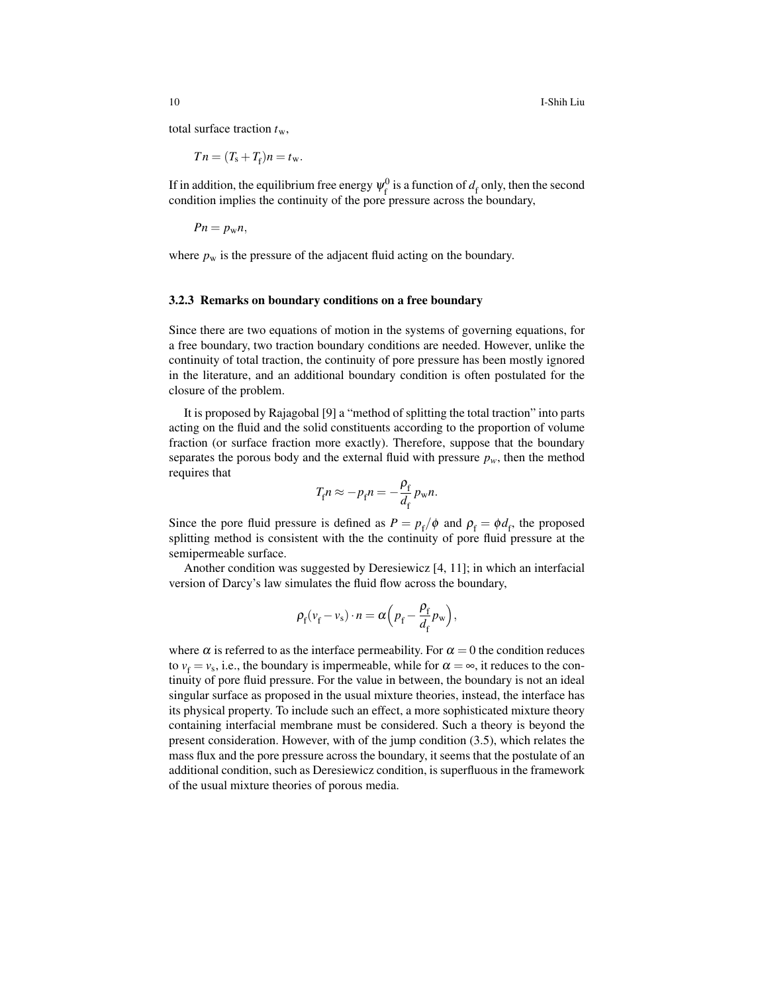10 I-Shih Liu

total surface traction *t*w,

$$
T n = (T_{\rm s} + T_{\rm f}) n = t_{\rm w}.
$$

If in addition, the equilibrium free energy  $\psi_{\mathrm{f}}^{0}$  $\frac{d}{f}$  is a function of  $d_f$  only, then the second condition implies the continuity of the pore pressure across the boundary,

$$
Pn=p_{\rm w}n,
$$

where  $p_w$  is the pressure of the adjacent fluid acting on the boundary.

#### 3.2.3 Remarks on boundary conditions on a free boundary

Since there are two equations of motion in the systems of governing equations, for a free boundary, two traction boundary conditions are needed. However, unlike the continuity of total traction, the continuity of pore pressure has been mostly ignored in the literature, and an additional boundary condition is often postulated for the closure of the problem.

It is proposed by Rajagobal [9] a "method of splitting the total traction" into parts acting on the fluid and the solid constituents according to the proportion of volume fraction (or surface fraction more exactly). Therefore, suppose that the boundary separates the porous body and the external fluid with pressure  $p_w$ , then the method requires that

$$
T_{\rm f} n \approx -p_{\rm f} n = -\frac{\rho_{\rm f}}{d_{\rm f}} p_{\rm w} n.
$$

Since the pore fluid pressure is defined as  $P = p_f / \phi$  and  $\rho_f = \phi d_f$ , the proposed splitting method is consistent with the the continuity of pore fluid pressure at the semipermeable surface.

Another condition was suggested by Deresiewicz [4, 11]; in which an interfacial version of Darcy's law simulates the fluid flow across the boundary,

$$
\rho_{\rm f}(\nu_{\rm f}-\nu_{\rm s})\cdot n=\alpha\Big(p_{\rm f}-\frac{\rho_{\rm f}}{d_{\rm f}}p_{\rm w}\Big),
$$

where  $\alpha$  is referred to as the interface permeability. For  $\alpha = 0$  the condition reduces to  $v_f = v_s$ , i.e., the boundary is impermeable, while for  $\alpha = \infty$ , it reduces to the continuity of pore fluid pressure. For the value in between, the boundary is not an ideal singular surface as proposed in the usual mixture theories, instead, the interface has its physical property. To include such an effect, a more sophisticated mixture theory containing interfacial membrane must be considered. Such a theory is beyond the present consideration. However, with of the jump condition (3.5), which relates the mass flux and the pore pressure across the boundary, it seems that the postulate of an additional condition, such as Deresiewicz condition, is superfluous in the framework of the usual mixture theories of porous media.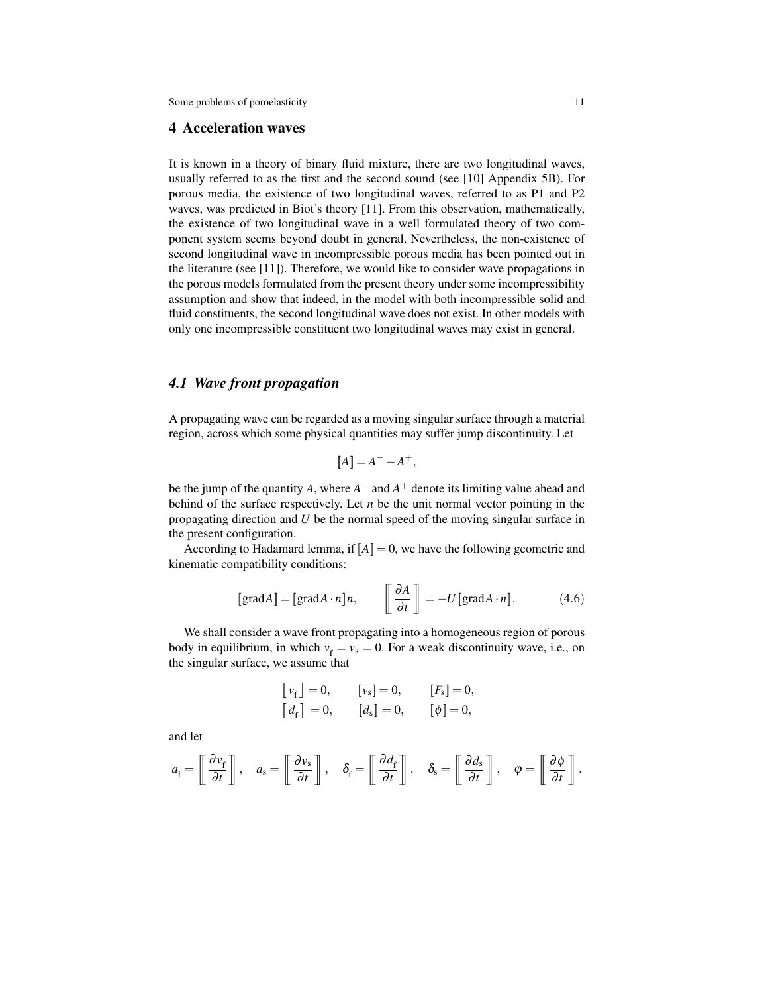# 4 Acceleration waves

It is known in a theory of binary fluid mixture, there are two longitudinal waves, usually referred to as the first and the second sound (see [10] Appendix 5B). For porous media, the existence of two longitudinal waves, referred to as P1 and P2 waves, was predicted in Biot's theory [11]. From this observation, mathematically, the existence of two longitudinal wave in a well formulated theory of two component system seems beyond doubt in general. Nevertheless, the non-existence of second longitudinal wave in incompressible porous media has been pointed out in the literature (see [11]). Therefore, we would like to consider wave propagations in the porous models formulated from the present theory under some incompressibility assumption and show that indeed, in the model with both incompressible solid and fluid constituents, the second longitudinal wave does not exist. In other models with only one incompressible constituent two longitudinal waves may exist in general.

# *4.1 Wave front propagation*

A propagating wave can be regarded as a moving singular surface through a material region, across which some physical quantities may suffer jump discontinuity. Let

$$
[A] = A^- - A^+,
$$

be the jump of the quantity *A*, where *A* <sup>−</sup> and *A* <sup>+</sup> denote its limiting value ahead and behind of the surface respectively. Let *n* be the unit normal vector pointing in the propagating direction and *U* be the normal speed of the moving singular surface in the present configuration.

According to Hadamard lemma, if  $[A] = 0$ , we have the following geometric and kinematic compatibility conditions:

$$
[\text{grad}A] = [\text{grad}A \cdot n]n, \qquad \left[\frac{\partial A}{\partial t}\right] = -U[\text{grad}A \cdot n]. \tag{4.6}
$$

We shall consider a wave front propagating into a homogeneous region of porous body in equilibrium, in which  $v_f = v_s = 0$ . For a weak discontinuity wave, i.e., on the singular surface, we assume that

$$
\begin{aligned} \begin{bmatrix} v_{\rm f} \end{bmatrix} &= 0, &\quad [v_{\rm s}] &= 0, &\quad [F_{\rm s}] &= 0, \\ \begin{bmatrix} d_{\rm f} \end{bmatrix} &= 0, &\quad [d_{\rm s}] &= 0, &\quad [\phi] &= 0, \end{aligned}
$$

and let

$$
a_{\rm f} = \left[\!\begin{array}{c} \frac{\partial v_{\rm f}}{\partial t} \end{array}\!\right], \quad a_{\rm s} = \left[\!\begin{array}{c} \frac{\partial v_{\rm s}}{\partial t} \end{array}\!\right], \quad \delta_{\rm f} = \left[\!\begin{array}{c} \frac{\partial d_{\rm f}}{\partial t} \end{array}\!\right], \quad \delta_{\rm s} = \left[\!\begin{array}{c} \frac{\partial d_{\rm s}}{\partial t} \end{array}\!\right], \quad \varphi = \left[\!\begin{array}{c} \frac{\partial \phi}{\partial t} \end{array}\!\right].
$$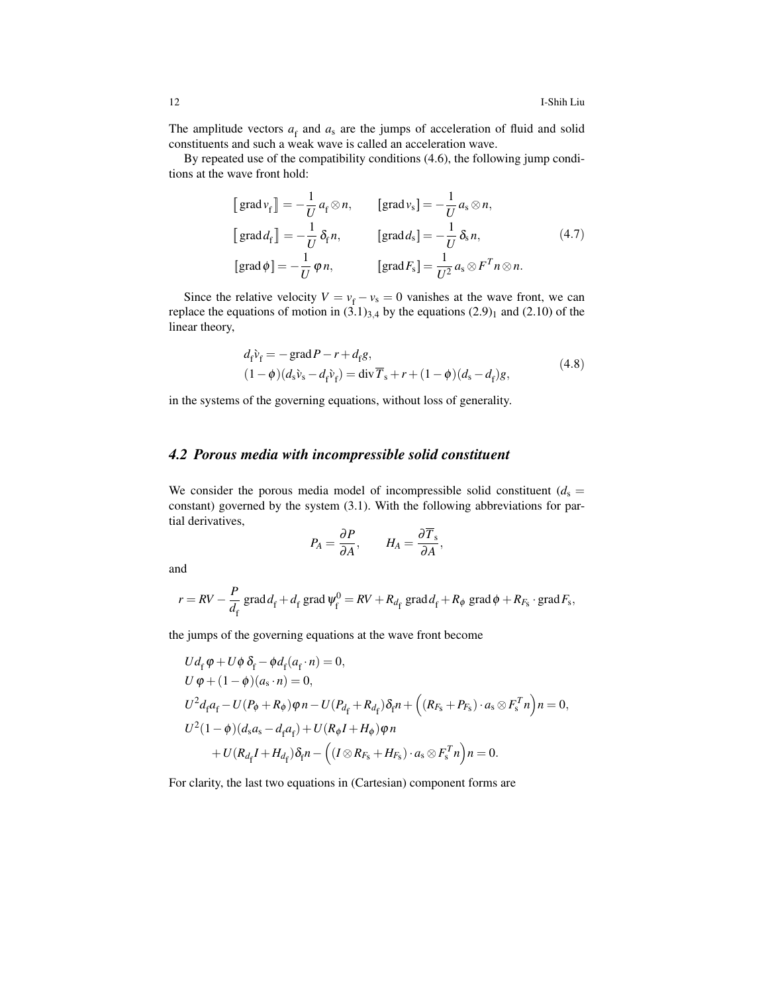The amplitude vectors  $a_f$  and  $a_s$  are the jumps of acceleration of fluid and solid constituents and such a weak wave is called an acceleration wave.

By repeated use of the compatibility conditions (4.6), the following jump conditions at the wave front hold:

$$
\begin{aligned}\n\left[\operatorname{grad} \nu_{\mathrm{f}}\right] &= -\frac{1}{U} a_{\mathrm{f}} \otimes n, & \left[\operatorname{grad} \nu_{\mathrm{s}}\right] &= -\frac{1}{U} a_{\mathrm{s}} \otimes n, \\
\left[\operatorname{grad} d_{\mathrm{f}}\right] &= -\frac{1}{U} \delta_{\mathrm{f}} n, & \left[\operatorname{grad} d_{\mathrm{s}}\right] &= -\frac{1}{U} \delta_{\mathrm{s}} n, \\
\left[\operatorname{grad} \phi\right] &= -\frac{1}{U} \phi n, & \left[\operatorname{grad} F_{\mathrm{s}}\right] &= \frac{1}{U^2} a_{\mathrm{s}} \otimes F^T n \otimes n.\n\end{aligned} \tag{4.7}
$$

Since the relative velocity  $V = v_f - v_s = 0$  vanishes at the wave front, we can replace the equations of motion in  $(3.1)_{3,4}$  by the equations  $(2.9)_1$  and  $(2.10)$  of the linear theory,

$$
d_{\rm f} \tilde{v}_{\rm f} = -\text{grad}\,P - r + d_{\rm f}g, (1 - \phi)(d_{\rm s} \tilde{v}_{\rm s} - d_{\rm f} \tilde{v}_{\rm f}) = \text{div}\,\overline{T}_{\rm s} + r + (1 - \phi)(d_{\rm s} - d_{\rm f})g,
$$
(4.8)

in the systems of the governing equations, without loss of generality.

# *4.2 Porous media with incompressible solid constituent*

We consider the porous media model of incompressible solid constituent  $(d_s =$ constant) governed by the system (3.1). With the following abbreviations for partial derivatives,

$$
P_A = \frac{\partial P}{\partial A}, \qquad H_A = \frac{\partial \overline{T}_s}{\partial A},
$$

and

$$
r = RV - \frac{P}{d_f} \operatorname{grad} d_f + d_f \operatorname{grad} \psi_f^0 = RV + R_{d_f} \operatorname{grad} d_f + R_{\phi} \operatorname{grad} \phi + R_{F_s} \cdot \operatorname{grad} F_s,
$$

the jumps of the governing equations at the wave front become

$$
Ud_{f} \varphi + U\phi \delta_{f} - \phi d_{f}(a_{f} \cdot n) = 0,
$$
  
\n
$$
U \varphi + (1 - \phi)(a_{s} \cdot n) = 0,
$$
  
\n
$$
U^{2}d_{f}a_{f} - U(P_{\phi} + R_{\phi})\varphi n - U(P_{d_{f}} + R_{d_{f}})\delta_{f}n + ((R_{F_{s}} + P_{F_{s}}) \cdot a_{s} \otimes F_{s}^{T}n)n = 0,
$$
  
\n
$$
U^{2}(1 - \phi)(d_{s}a_{s} - d_{f}a_{f}) + U(R_{\phi}I + H_{\phi})\varphi n + U(R_{d_{f}}I + H_{d_{f}})\delta_{f}n - ((I \otimes R_{F_{s}} + H_{F_{s}}) \cdot a_{s} \otimes F_{s}^{T}n)n = 0.
$$

For clarity, the last two equations in (Cartesian) component forms are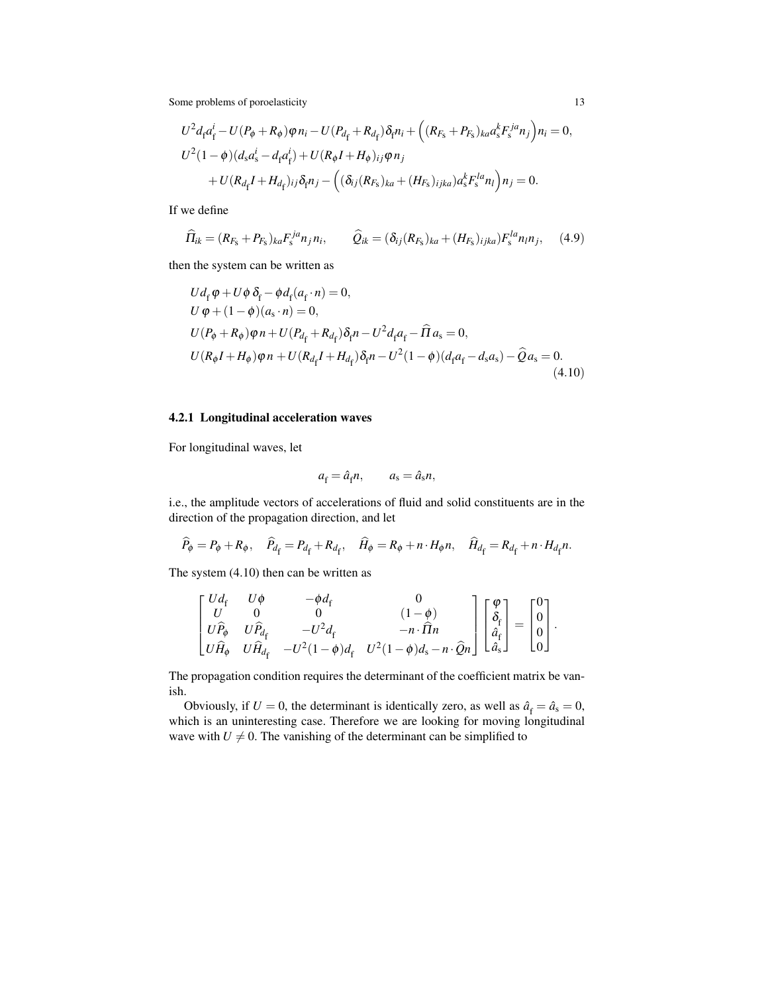$$
U^{2} d_{f} a_{f}^{i} - U(P_{\phi} + R_{\phi}) \varphi n_{i} - U(P_{d_{f}} + R_{d_{f}}) \delta_{f} n_{i} + ((R_{F_{S}} + P_{F_{S}})_{ka} a_{S}^{k} F_{S}^{ja} n_{j}) n_{i} = 0,
$$
  

$$
U^{2} (1 - \phi) (d_{S} a_{S}^{i} - d_{f} a_{f}^{i}) + U(R_{\phi} I + H_{\phi})_{ij} \varphi n_{j}
$$

$$
+ U(R_{d_{f}} I + H_{d_{f}})_{ij} \delta_{f} n_{j} - ((\delta_{ij} (R_{F_{S}})_{ka} + (H_{F_{S}})_{ijka}) a_{S}^{k} F_{S}^{la} n_{l}) n_{j} = 0.
$$

If we define

$$
\widehat{H}_{ik} = (R_{F_S} + P_{F_S})_{ka} F_s^{ja} n_j n_i, \qquad \widehat{Q}_{ik} = (\delta_{ij} (R_{F_S})_{ka} + (H_{F_S})_{ijka}) F_s^{la} n_i n_j, \qquad (4.9)
$$

then the system can be written as

$$
Ud_{\rm f} \varphi + U\phi \delta_{\rm f} - \phi d_{\rm f}(a_{\rm f} \cdot n) = 0,
$$
  
\n
$$
U \varphi + (1 - \phi)(a_{\rm s} \cdot n) = 0,
$$
  
\n
$$
U(P_{\phi} + R_{\phi})\varphi n + U(P_{d_{\rm f}} + R_{d_{\rm f}})\delta_{\rm f}n - U^2 d_{\rm f}a_{\rm f} - \widehat{\Pi} a_{\rm s} = 0,
$$
  
\n
$$
U(R_{\phi}I + H_{\phi})\varphi n + U(R_{d_{\rm f}}I + H_{d_{\rm f}})\delta_{\rm f}n - U^2(1 - \phi)(d_{\rm f}a_{\rm f} - d_{\rm s}a_{\rm s}) - \widehat{Q}a_{\rm s} = 0.
$$
\n(4.10)

#### 4.2.1 Longitudinal acceleration waves

For longitudinal waves, let

$$
a_{\rm f} = \hat{a}_{\rm f} n, \qquad a_{\rm s} = \hat{a}_{\rm s} n,
$$

i.e., the amplitude vectors of accelerations of fluid and solid constituents are in the direction of the propagation direction, and let

$$
\widehat{P}_{\phi} = P_{\phi} + R_{\phi}, \quad \widehat{P}_{d_{\rm f}} = P_{d_{\rm f}} + R_{d_{\rm f}}, \quad \widehat{H}_{\phi} = R_{\phi} + n \cdot H_{\phi} n, \quad \widehat{H}_{d_{\rm f}} = R_{d_{\rm f}} + n \cdot H_{d_{\rm f}} n.
$$

The system (4.10) then can be written as

$$
\begin{bmatrix} Ud_{\rm f} & U\phi & -\phi d_{\rm f} & 0 \\ U & 0 & 0 & (1-\phi) \\ U\hat{P}_{\phi} & U\hat{P}_{d_{\rm f}} & -U^2d_{\rm f} & -n\cdot\hat{\Pi}n \\ U\hat{H}_{\phi} & U\hat{H}_{d_{\rm f}} & -U^2(1-\phi)d_{\rm f} & U^2(1-\phi)d_{\rm s}-n\cdot\hat{Q}n \end{bmatrix} \begin{bmatrix} \varphi \\ \delta_{\rm f} \\ \hat{a}_{\rm f} \\ \hat{a}_{\rm s} \end{bmatrix} = \begin{bmatrix} 0 \\ 0 \\ 0 \\ 0 \end{bmatrix}.
$$

The propagation condition requires the determinant of the coefficient matrix be vanish.

Obviously, if  $U = 0$ , the determinant is identically zero, as well as  $\hat{a}_{f} = \hat{a}_{s} = 0$ , which is an uninteresting case. Therefore we are looking for moving longitudinal wave with  $U \neq 0$ . The vanishing of the determinant can be simplified to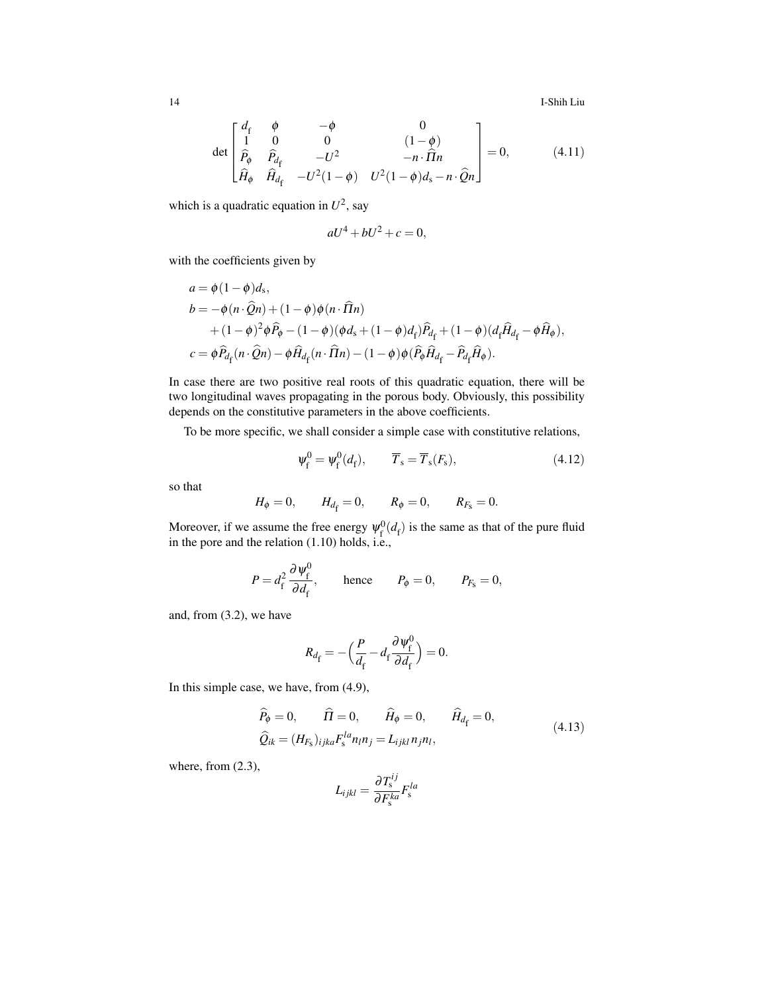14 I-Shih Liu

$$
\det \begin{bmatrix} d_f & \phi & -\phi & 0 \\ 1 & 0 & 0 & (1-\phi) \\ \hat{P}_{\phi} & \hat{P}_{d_f} & -U^2 & -n \cdot \hat{\Pi} n \\ \hat{H}_{\phi} & \hat{H}_{d_f} & -U^2(1-\phi) & U^2(1-\phi)d_s - n \cdot \hat{Q} n \end{bmatrix} = 0, \quad (4.11)
$$

which is a quadratic equation in  $U^2$ , say

$$
aU^4 + bU^2 + c = 0,
$$

with the coefficients given by

$$
a = \phi (1 - \phi) d_s,
$$
  
\n
$$
b = -\phi (n \cdot \hat{Q}n) + (1 - \phi) \phi (n \cdot \hat{\Pi}n)
$$
  
\n
$$
+ (1 - \phi)^2 \phi \hat{P}_{\phi} - (1 - \phi) (\phi d_s + (1 - \phi) d_f) \hat{P}_{d_f} + (1 - \phi) (d_f \hat{H}_{d_f} - \phi \hat{H}_{\phi}),
$$
  
\n
$$
c = \phi \hat{P}_{d_f} (n \cdot \hat{Q}n) - \phi \hat{H}_{d_f} (n \cdot \hat{\Pi}n) - (1 - \phi) \phi (\hat{P}_{\phi} \hat{H}_{d_f} - \hat{P}_{d_f} \hat{H}_{\phi}).
$$

In case there are two positive real roots of this quadratic equation, there will be two longitudinal waves propagating in the porous body. Obviously, this possibility depends on the constitutive parameters in the above coefficients.

To be more specific, we shall consider a simple case with constitutive relations,

$$
\Psi_{\mathbf{f}}^{0} = \Psi_{\mathbf{f}}^{0}(d_{\mathbf{f}}), \qquad \overline{T}_{\mathbf{s}} = \overline{T}_{\mathbf{s}}(F_{\mathbf{s}}), \tag{4.12}
$$

so that

$$
H_{\phi} = 0
$$
,  $H_{d_f} = 0$ ,  $R_{\phi} = 0$ ,  $R_{F_s} = 0$ .

Moreover, if we assume the free energy  $\psi_{\rm f}^0$  $f_f^{(0)}(d_f)$  is the same as that of the pure fluid in the pore and the relation (1.10) holds, i.e.,

$$
P = d_{\rm f}^2 \frac{\partial \psi_{\rm f}^0}{\partial d_{\rm f}}, \quad \text{hence} \quad P_{\phi} = 0, \quad P_{\rm F_s} = 0,
$$

and, from (3.2), we have

$$
R_{d_{\rm f}} = -\left(\frac{P}{d_{\rm f}} - d_{\rm f} \frac{\partial \psi_{\rm f}^0}{\partial d_{\rm f}}\right) = 0.
$$

In this simple case, we have, from (4.9),

$$
\widehat{P}_{\phi} = 0, \qquad \widehat{\Pi} = 0, \qquad \widehat{H}_{\phi} = 0, \qquad \widehat{H}_{d_{\rm f}} = 0,
$$
\n
$$
\widehat{Q}_{ik} = (H_{F_{\rm s}})_{ijka} F_{\rm s}^{la} n_{l} n_{j} = L_{ijkl} n_{j} n_{l}, \qquad (4.13)
$$

where, from (2.3),

$$
L_{ijkl} = \frac{\partial T_{\rm s}^{ij}}{\partial F_{\rm s}^{ka}} F_{\rm s}^{la}
$$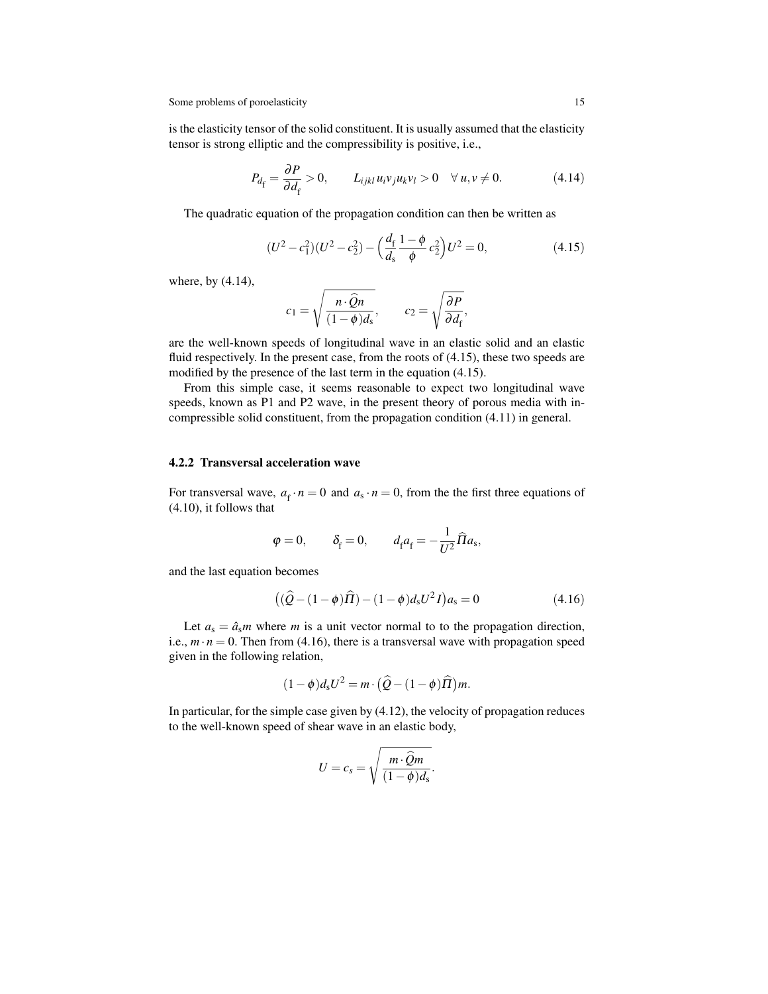is the elasticity tensor of the solid constituent. It is usually assumed that the elasticity tensor is strong elliptic and the compressibility is positive, i.e.,

$$
P_{d_{\rm f}} = \frac{\partial P}{\partial d_{\rm f}} > 0, \qquad L_{ijkl} u_{i} v_{j} u_{k} v_{l} > 0 \quad \forall \ u, v \neq 0. \tag{4.14}
$$

The quadratic equation of the propagation condition can then be written as

$$
(U^2 - c_1^2)(U^2 - c_2^2) - \left(\frac{d_f}{d_s} \frac{1 - \phi}{\phi} c_2^2\right) U^2 = 0,
$$
\n(4.15)

where, by (4.14),

$$
c_1 = \sqrt{\frac{n \cdot \hat{Q}n}{(1-\phi)d_s}}, \qquad c_2 = \sqrt{\frac{\partial P}{\partial d_f}},
$$

are the well-known speeds of longitudinal wave in an elastic solid and an elastic fluid respectively. In the present case, from the roots of  $(4.15)$ , these two speeds are modified by the presence of the last term in the equation (4.15).

From this simple case, it seems reasonable to expect two longitudinal wave speeds, known as P1 and P2 wave, in the present theory of porous media with incompressible solid constituent, from the propagation condition (4.11) in general.

### 4.2.2 Transversal acceleration wave

For transversal wave,  $a_f \cdot n = 0$  and  $a_s \cdot n = 0$ , from the the first three equations of (4.10), it follows that

$$
\varphi = 0,
$$
\n $\delta_{\rm f} = 0,$ \n $d_{\rm f} a_{\rm f} = -\frac{1}{U^2} \widehat{\Pi} a_{\rm s},$ 

and the last equation becomes

$$
((\hat{Q} - (1 - \phi)\hat{\Pi}) - (1 - \phi)d_s U^2 I)a_s = 0
$$
\n(4.16)

Let  $a_s = \hat{a}_s m$  where *m* is a unit vector normal to to the propagation direction, i.e.,  $m \cdot n = 0$ . Then from (4.16), there is a transversal wave with propagation speed given in the following relation,

$$
(1 - \phi)d_s U^2 = m \cdot \left(\widehat{Q} - (1 - \phi)\widehat{\Pi}\right)m.
$$

In particular, for the simple case given by  $(4.12)$ , the velocity of propagation reduces to the well-known speed of shear wave in an elastic body,

$$
U=c_s=\sqrt{\frac{m\cdot \widehat{Q}m}{(1-\phi)d_s}}.
$$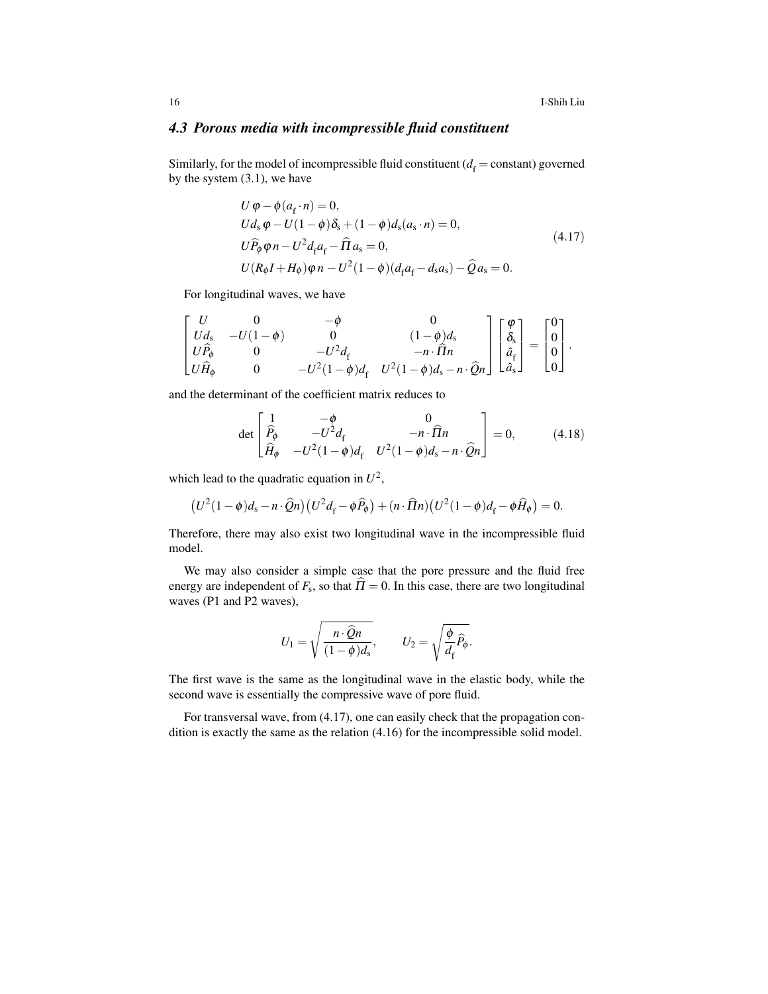# *4.3 Porous media with incompressible fluid constituent*

Similarly, for the model of incompressible fluid constituent ( $d_f$  = constant) governed by the system (3.1), we have

$$
U \varphi - \phi(a_f \cdot n) = 0,
$$
  
\n
$$
Ud_s \varphi - U(1 - \phi)\delta_s + (1 - \phi)d_s(a_s \cdot n) = 0,
$$
  
\n
$$
U\widehat{P}_{\varphi}\varphi n - U^2 d_f a_f - \widehat{\Pi} a_s = 0,
$$
  
\n
$$
U(R_{\varphi}I + H_{\varphi})\varphi n - U^2(1 - \phi)(d_f a_f - d_s a_s) - \widehat{Q} a_s = 0.
$$
\n(4.17)

For longitudinal waves, we have

$$
\begin{bmatrix} U & 0 & -\phi & 0 \\ Ud_{s} & -U(1-\phi) & 0 & (1-\phi)d_{s} \\ U\hat{P}_{\phi} & 0 & -U^{2}d_{f} & -n\cdot\hat{\Pi}n \\ U\hat{H}_{\phi} & 0 & -U^{2}(1-\phi)d_{f} & U^{2}(1-\phi)d_{s}-n\cdot\hat{Q}n \end{bmatrix} \begin{bmatrix} \varphi \\ \delta_{s} \\ \hat{a}_{f} \\ \hat{a}_{s} \end{bmatrix} = \begin{bmatrix} 0 \\ 0 \\ 0 \\ 0 \end{bmatrix}.
$$

and the determinant of the coefficient matrix reduces to

$$
\det \begin{bmatrix} 1 & -\phi & 0 \\ \hat{P}_{\phi} & -U^2 d_f & -n \cdot \hat{\Pi} n \\ \hat{H}_{\phi} & -U^2 (1 - \phi) d_f & U^2 (1 - \phi) d_s - n \cdot \hat{Q} n \end{bmatrix} = 0, \quad (4.18)
$$

which lead to the quadratic equation in  $U^2$ ,

$$
(U^2(1-\phi)d_s-n\cdot\widehat{Q}n)(U^2d_f-\phi\widehat{P}_{\phi})+(n\cdot\widehat{\Pi}n)(U^2(1-\phi)d_f-\phi\widehat{H}_{\phi})=0.
$$

Therefore, there may also exist two longitudinal wave in the incompressible fluid model.

We may also consider a simple case that the pore pressure and the fluid free energy are independent of  $F_s$ , so that  $\Pi = 0$ . In this case, there are two longitudinal waves (P1 and P2 waves),

$$
U_1 = \sqrt{\frac{n \cdot \widehat{Q}n}{(1 - \phi)d_{\mathrm{s}}}}, \qquad U_2 = \sqrt{\frac{\phi}{d_{\mathrm{f}}}\widehat{P}_{\phi}}.
$$

The first wave is the same as the longitudinal wave in the elastic body, while the second wave is essentially the compressive wave of pore fluid.

For transversal wave, from (4.17), one can easily check that the propagation condition is exactly the same as the relation (4.16) for the incompressible solid model.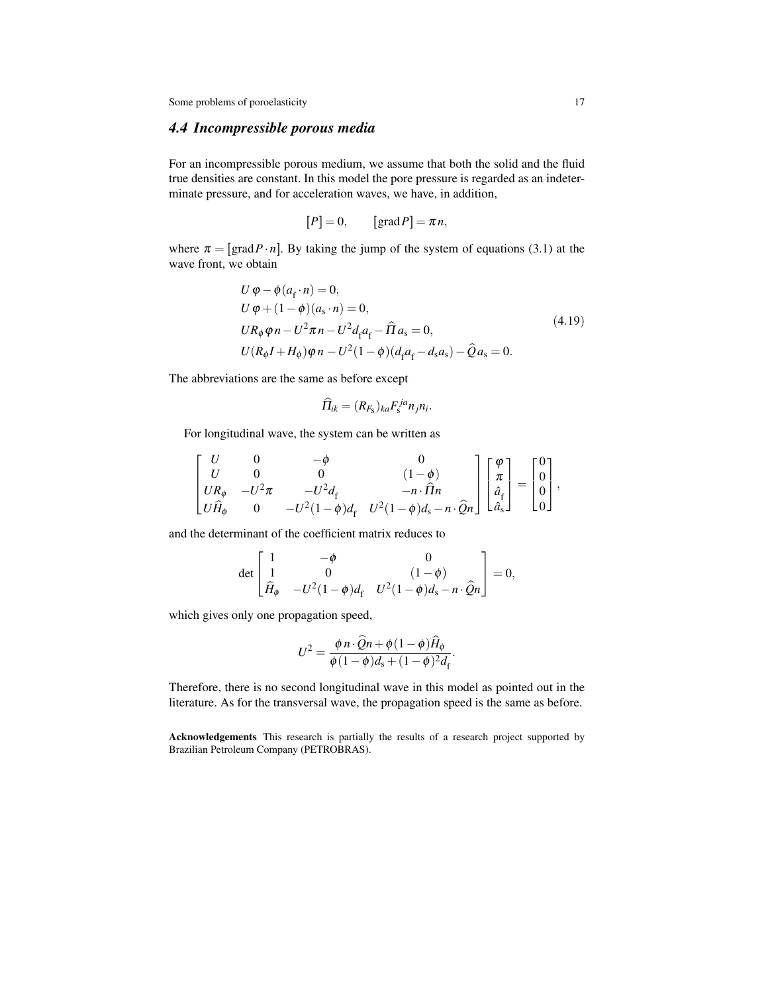# *4.4 Incompressible porous media*

For an incompressible porous medium, we assume that both the solid and the fluid true densities are constant. In this model the pore pressure is regarded as an indeterminate pressure, and for acceleration waves, we have, in addition,

$$
[P] = 0, \qquad [grad P] = \pi n,
$$

where  $\pi = [\text{grad} P \cdot n]$ . By taking the jump of the system of equations (3.1) at the wave front, we obtain

$$
U \varphi - \phi(a_f \cdot n) = 0,
$$
  
\n
$$
U \varphi + (1 - \phi)(a_s \cdot n) = 0,
$$
  
\n
$$
U R_{\phi} \varphi n - U^2 \pi n - U^2 d_f a_f - \widehat{\Pi} a_s = 0,
$$
  
\n
$$
U (R_{\phi} I + H_{\phi}) \varphi n - U^2 (1 - \phi)(d_f a_f - d_s a_s) - \widehat{Q} a_s = 0.
$$
\n(4.19)

The abbreviations are the same as before except

$$
\widehat{\Pi}_{ik} = (R_{F_{\rm S}})_{ka} F_{\rm s}^{ja} n_j n_i.
$$

For longitudinal wave, the system can be written as

$$
\begin{bmatrix} U & 0 & -\phi & 0 \\ U & 0 & 0 & (1-\phi) \\ UR_{\phi} & -U^{2}\pi & -U^{2}d_{f} & -n \cdot \widehat{H}n \\ U\widehat{H}_{\phi} & 0 & -U^{2}(1-\phi)d_{f} & U^{2}(1-\phi)d_{s}-n \cdot \widehat{Q}n \end{bmatrix} \begin{bmatrix} \varphi \\ \pi \\ \widehat{a}_{f} \\ \widehat{a}_{s} \end{bmatrix} = \begin{bmatrix} 0 \\ 0 \\ 0 \\ 0 \end{bmatrix},
$$

and the determinant of the coefficient matrix reduces to

$$
\det\begin{bmatrix} 1 & -\phi & 0 \\ 1 & 0 & (1-\phi) \\ \hat{H}_{\phi} & -U^2(1-\phi)d_{\rm f} & U^2(1-\phi)d_{\rm s} - n \cdot \hat{Q}n \end{bmatrix} = 0,
$$

which gives only one propagation speed,

$$
U^{2} = \frac{\phi n \cdot \widehat{Q} n + \phi (1 - \phi) \widehat{H}_{\phi}}{\phi (1 - \phi) d_{s} + (1 - \phi)^{2} d_{f}}.
$$

 $\overline{a}$ 

Therefore, there is no second longitudinal wave in this model as pointed out in the literature. As for the transversal wave, the propagation speed is the same as before.

Acknowledgements This research is partially the results of a research project supported by Brazilian Petroleum Company (PETROBRAS).